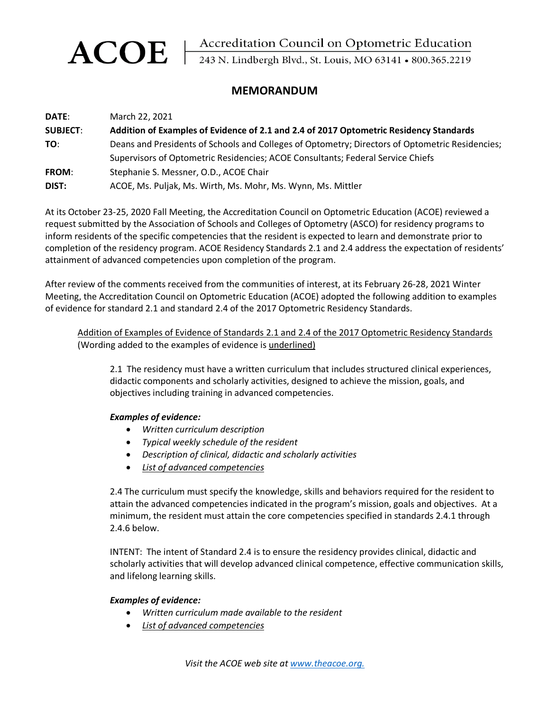ACOE | Accreditation Council on Optometric Education<br>243 N. Lindbergh Blvd., St. Louis, MO 63141 • 800.365.2219

## **MEMORANDUM**

| <b>DATE:</b>    | March 22, 2021                                                                                  |
|-----------------|-------------------------------------------------------------------------------------------------|
| <b>SUBJECT:</b> | Addition of Examples of Evidence of 2.1 and 2.4 of 2017 Optometric Residency Standards          |
| TO:             | Deans and Presidents of Schools and Colleges of Optometry; Directors of Optometric Residencies; |
|                 | Supervisors of Optometric Residencies; ACOE Consultants; Federal Service Chiefs                 |
| <b>FROM:</b>    | Stephanie S. Messner, O.D., ACOE Chair                                                          |
| DIST:           | ACOE, Ms. Puljak, Ms. Wirth, Ms. Mohr, Ms. Wynn, Ms. Mittler                                    |

At its October 23-25, 2020 Fall Meeting, the Accreditation Council on Optometric Education (ACOE) reviewed a request submitted by the Association of Schools and Colleges of Optometry (ASCO) for residency programs to inform residents of the specific competencies that the resident is expected to learn and demonstrate prior to completion of the residency program. ACOE Residency Standards 2.1 and 2.4 address the expectation of residents' attainment of advanced competencies upon completion of the program.

After review of the comments received from the communities of interest, at its February 26-28, 2021 Winter Meeting, the Accreditation Council on Optometric Education (ACOE) adopted the following addition to examples of evidence for standard 2.1 and standard 2.4 of the 2017 Optometric Residency Standards.

Addition of Examples of Evidence of Standards 2.1 and 2.4 of the 2017 Optometric Residency Standards (Wording added to the examples of evidence is underlined)

2.1 The residency must have a written curriculum that includes structured clinical experiences, didactic components and scholarly activities, designed to achieve the mission, goals, and objectives including training in advanced competencies.

## *Examples of evidence:*

- *Written curriculum description*
- *Typical weekly schedule of the resident*
- *Description of clinical, didactic and scholarly activities*
- *List of advanced competencies*

2.4 The curriculum must specify the knowledge, skills and behaviors required for the resident to attain the advanced competencies indicated in the program's mission, goals and objectives. At a minimum, the resident must attain the core competencies specified in standards 2.4.1 through 2.4.6 below.

INTENT: The intent of Standard 2.4 is to ensure the residency provides clinical, didactic and scholarly activities that will develop advanced clinical competence, effective communication skills, and lifelong learning skills.

## *Examples of evidence:*

- *Written curriculum made available to the resident*
- *List of advanced competencies*